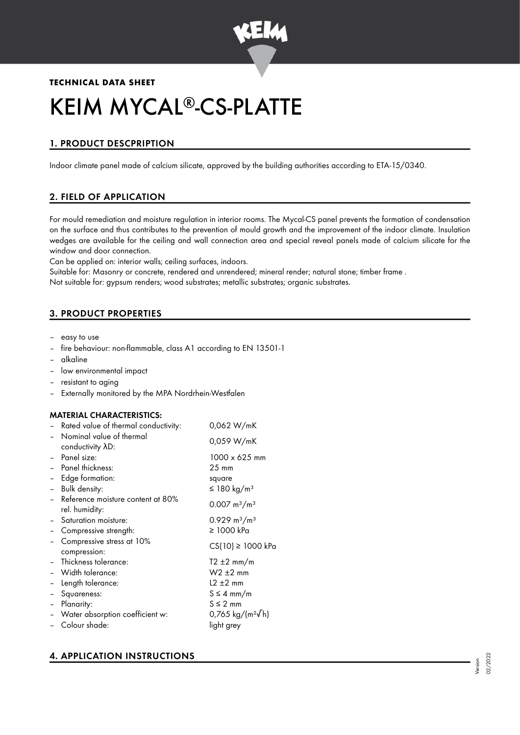

**TECHNICAL DATA SHEET**

# KEIM MYCAL®-CS-PLATTE

# 1. PRODUCT DESCPRIPTION

Indoor climate panel made of calcium silicate, approved by the building authorities according to ETA-15/0340.

# 2. FIELD OF APPLICATION

For mould remediation and moisture regulation in interior rooms. The Mycal-CS panel prevents the formation of condensation on the surface and thus contributes to the prevention of mould growth and the improvement of the indoor climate. Insulation wedges are available for the ceiling and wall connection area and special reveal panels made of calcium silicate for the window and door connection.

Can be applied on: interior walls; ceiling surfaces, indoors.

Suitable for: Masonry or concrete, rendered and unrendered; mineral render; natural stone; timber frame . Not suitable for: gypsum renders; wood substrates; metallic substrates; organic substrates.

# 3. PRODUCT PROPERTIES

- easy to use
- fire behaviour: non-flammable, class A1 according to EN 13501-1
- alkaline
- low environmental impact
- resistant to aging
- Externally monitored by the MPA Nordrhein-Westfalen

## MATERIAL CHARACTERISTICS:

| Rated value of thermal conductivity:                                         | 0,062 W/mK                                                           |  |  |
|------------------------------------------------------------------------------|----------------------------------------------------------------------|--|--|
| Nominal value of thermal<br>conductivity AD:                                 | 0,059 W/mK                                                           |  |  |
| Panel size:<br>Panel thickness:                                              | 1000 x 625 mm<br>$25 \text{ mm}$                                     |  |  |
| Edge formation:<br>Bulk density:                                             | square<br>≤ 180 kg/m <sup>3</sup>                                    |  |  |
| Reference moisture content at 80%<br>rel. humidity:                          | $0.007 \text{ m}^3/\text{m}^3$                                       |  |  |
| Saturation moisture:<br>Compressive strength:                                | $0.929 \text{ m}^3/\text{m}^3$<br>≥ 1000 kPa                         |  |  |
| Compressive stress at 10%<br>compression:                                    | $CS(10) \ge 1000$ kPa                                                |  |  |
| Thickness tolerance:<br>Width tolerance:<br>Length tolerance:<br>Squareness: | $T2 \pm 2$ mm/m<br>$W2 \pm 2$ mm<br>$12 \pm 2$ mm<br>$S \leq 4$ mm/m |  |  |
| Planarity:<br>Water absorption coefficient w:<br>Colour shade:               | $S \leq 2$ mm<br>0,765 kg/(m <sup>2</sup> √h)<br>light grey          |  |  |
|                                                                              |                                                                      |  |  |

# 4. APPLICATION INSTRUCTIONS

Version 02/2022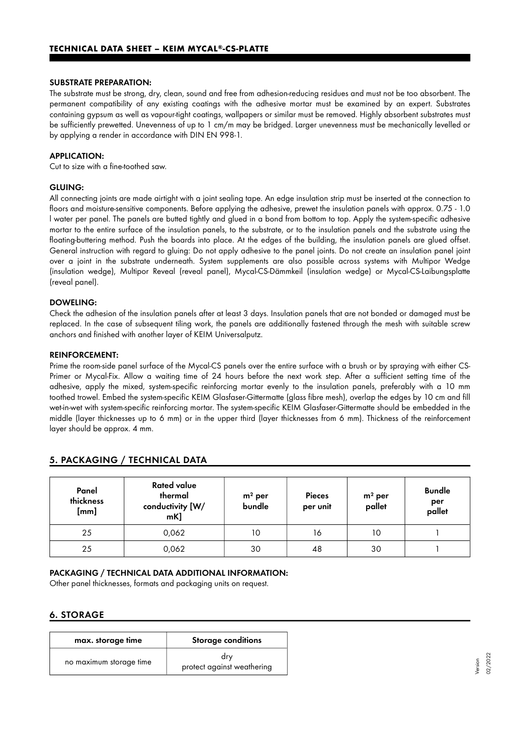#### SUBSTRATE PREPARATION:

The substrate must be strong, dry, clean, sound and free from adhesion-reducing residues and must not be too absorbent. The permanent compatibility of any existing coatings with the adhesive mortar must be examined by an expert. Substrates containing gypsum as well as vapour-tight coatings, wallpapers or similar must be removed. Highly absorbent substrates must be sufficiently prewetted. Unevenness of up to 1 cm/m may be bridged. Larger unevenness must be mechanically levelled or by applying a render in accordance with DIN EN 998-1.

#### APPLICATION:

Cut to size with a fine-toothed saw.

#### GLUING:

All connecting joints are made airtight with a joint sealing tape. An edge insulation strip must be inserted at the connection to floors and moisture-sensitive components. Before applying the adhesive, prewet the insulation panels with approx. 0.75 - 1.0 l water per panel. The panels are butted tightly and glued in a bond from bottom to top. Apply the system-specific adhesive mortar to the entire surface of the insulation panels, to the substrate, or to the insulation panels and the substrate using the floating-buttering method. Push the boards into place. At the edges of the building, the insulation panels are glued offset. General instruction with regard to gluing: Do not apply adhesive to the panel joints. Do not create an insulation panel joint over a joint in the substrate underneath. System supplements are also possible across systems with Multipor Wedge (insulation wedge), Multipor Reveal (reveal panel), Mycal-CS-Dämmkeil (insulation wedge) or Mycal-CS-Laibungsplatte (reveal panel).

#### DOWELING:

Check the adhesion of the insulation panels after at least 3 days. Insulation panels that are not bonded or damaged must be replaced. In the case of subsequent tiling work, the panels are additionally fastened through the mesh with suitable screw anchors and finished with another layer of KEIM Universalputz.

#### REINFORCEMENT:

Prime the room-side panel surface of the Mycal-CS panels over the entire surface with a brush or by spraying with either CS-Primer or Mycal-Fix. Allow a waiting time of 24 hours before the next work step. After a sufficient setting time of the adhesive, apply the mixed, system-specific reinforcing mortar evenly to the insulation panels, preferably with a 10 mm toothed trowel. Embed the system-specific KEIM Glasfaser-Gittermatte (glass fibre mesh), overlap the edges by 10 cm and fill wet-in-wet with system-specific reinforcing mortar. The system-specific KEIM Glasfaser-Gittermatte should be embedded in the middle (layer thicknesses up to 6 mm) or in the upper third (layer thicknesses from 6 mm). Thickness of the reinforcement layer should be approx. 4 mm.

| Panel<br>thickness<br>[mm] | <b>Rated value</b><br>thermal<br>conductivity [W/<br>mK] | $m2$ per<br>bundle | <b>Pieces</b><br>per unit | $m2$ per<br>pallet | <b>Bundle</b><br>per<br>pallet |
|----------------------------|----------------------------------------------------------|--------------------|---------------------------|--------------------|--------------------------------|
| 25                         | 0,062                                                    | 10                 | 16                        | 10                 |                                |
| 25                         | 0,062                                                    | 30                 | 48                        | 30                 |                                |

## 5. PACKAGING / TECHNICAL DATA

#### PACKAGING / TECHNICAL DATA ADDITIONAL INFORMATION:

Other panel thicknesses, formats and packaging units on request.

#### 6. STORAGE

| max. storage time       | <b>Storage conditions</b>         |
|-------------------------|-----------------------------------|
| no maximum storage time | dry<br>protect against weathering |